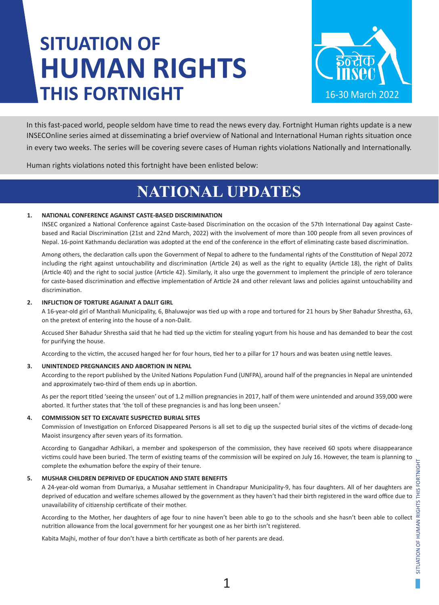# **SITUATION OF HUMAN RIGHTS THIS FORTNIGHT**



In this fast-paced world, people seldom have time to read the news every day. Fortnight Human rights update is a new INSECOnline series aimed at disseminating a brief overview of National and International Human rights situation once in every two weeks. The series will be covering severe cases of Human rights violations Nationally and Internationally.

Human rights violations noted this fortnight have been enlisted below:

## **NATIONAL UPDATES**

### **1. NATIONAL CONFERENCE AGAINST CASTE-BASED DISCRIMINATION**

INSEC organized a National Conference against Caste-based Discrimination on the occasion of the 57th International Day against Castebased and Racial Discrimination (21st and 22nd March, 2022) with the involvement of more than 100 people from all seven provinces of Nepal. 16-point Kathmandu declaration was adopted at the end of the conference in the effort of eliminating caste based discrimination.

Among others, the declaration calls upon the Government of Nepal to adhere to the fundamental rights of the Constitution of Nepal 2072 including the right against untouchability and discrimination (Article 24) as well as the right to equality (Article 18), the right of Dalits (Article 40) and the right to social justice (Article 42). Similarly, it also urge the government to implement the principle of zero tolerance for caste-based discrimination and effective implementation of Article 24 and other relevant laws and policies against untouchability and discrimination.

### **2. INFLICTION OF TORTURE AGAINAT A DALIT GIRL**

A 16-year-old girl of Manthali Municipality, 6, Bhaluwajor was tied up with a rope and tortured for 21 hours by Sher Bahadur Shrestha, 63, on the pretext of entering into the house of a non-Dalit.

Accused Sher Bahadur Shrestha said that he had tied up the victim for stealing yogurt from his house and has demanded to bear the cost for purifying the house.

According to the victim, the accused hanged her for four hours, tied her to a pillar for 17 hours and was beaten using nettle leaves.

### **3. UNINTENDED PREGNANCIES AND ABORTION IN NEPAL**

According to the report published by the United Nations Population Fund (UNFPA), around half of the pregnancies in Nepal are unintended and approximately two-third of them ends up in abortion.

As per the report titled 'seeing the unseen' out of 1.2 million pregnancies in 2017, half of them were unintended and around 359,000 were aborted. It further states that 'the toll of these pregnancies is and has long been unseen.'

### **4. COMMISSION SET TO EXCAVATE SUSPECTED BURIAL SITES**

Commission of Investigation on Enforced Disappeared Persons is all set to dig up the suspected burial sites of the victims of decade-long Maoist insurgency after seven years of its formation.

According to Gangadhar Adhikari, a member and spokesperson of the commission, they have received 60 spots where disappearance victims could have been buried. The term of existing teams of the commission will be expired on July 16. However, the team is planning to complete the exhumation before the expiry of their tenure.

### **5. MUSHAR CHILDREN DEPRIVED OF EDUCATION AND STATE BENEFITS**

A 24-year-old woman from Dumariya, a Musahar settlement in Chandrapur Municipality-9, has four daughters. All of her daughters are deprived of education and welfare schemes allowed by the government as they haven't had their birth registered in the ward office due to unavailability of citizenship certificate of their mother.

According to the Mother, her daughters of age four to nine haven't been able to go to the schools and she hasn't been able to collect nutrition allowance from the local government for her youngest one as her birth isn't registered.

Kabita Majhi, mother of four don't have a birth certificate as both of her parents are dead.